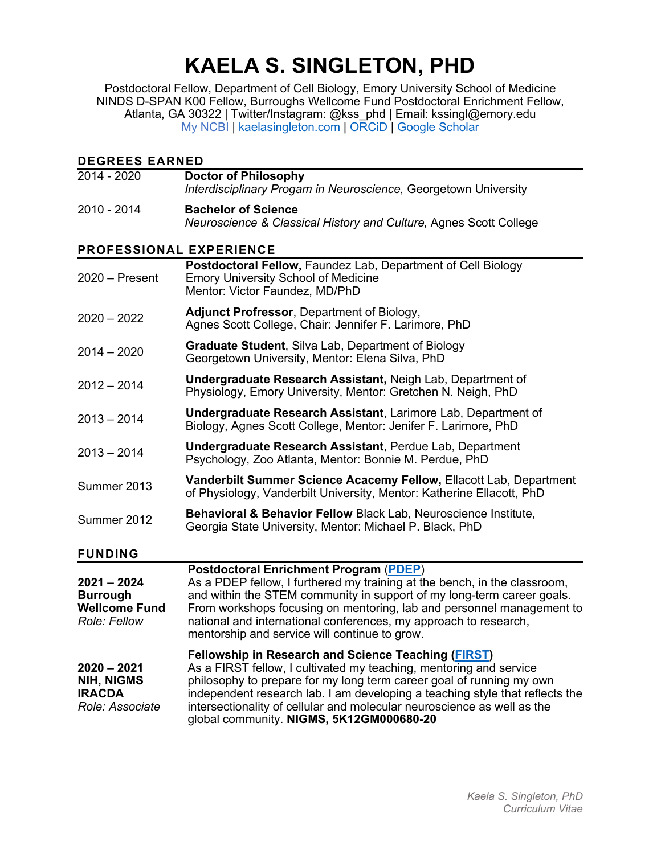# **KAELA S. SINGLETON, PHD**

Postdoctoral Fellow, Department of Cell Biology, Emory University School of Medicine NINDS D-SPAN K00 Fellow, Burroughs Wellcome Fund Postdoctoral Enrichment Fellow, Atlanta, GA 30322 | Twitter/Instagram: @kss\_phd | Email: kssingl@emory.edu My NCBI | kaelasingleton.com | ORCiD | Google Scholar

| <b>DEGREES EARNED</b>                                                    |                                                                                                                                                                                                                                                                                                                                                                                                                 |
|--------------------------------------------------------------------------|-----------------------------------------------------------------------------------------------------------------------------------------------------------------------------------------------------------------------------------------------------------------------------------------------------------------------------------------------------------------------------------------------------------------|
| $2014 - 2020$                                                            | <b>Doctor of Philosophy</b><br>Interdisciplinary Progam in Neuroscience, Georgetown University                                                                                                                                                                                                                                                                                                                  |
| 2010 - 2014                                                              | <b>Bachelor of Science</b><br>Neuroscience & Classical History and Culture, Agnes Scott College                                                                                                                                                                                                                                                                                                                 |
| PROFESSIONAL EXPERIENCE                                                  |                                                                                                                                                                                                                                                                                                                                                                                                                 |
| $2020 -$ Present                                                         | Postdoctoral Fellow, Faundez Lab, Department of Cell Biology<br><b>Emory University School of Medicine</b><br>Mentor: Victor Faundez, MD/PhD                                                                                                                                                                                                                                                                    |
| $2020 - 2022$                                                            | Adjunct Profressor, Department of Biology,<br>Agnes Scott College, Chair: Jennifer F. Larimore, PhD                                                                                                                                                                                                                                                                                                             |
| $2014 - 2020$                                                            | <b>Graduate Student, Silva Lab, Department of Biology</b><br>Georgetown University, Mentor: Elena Silva, PhD                                                                                                                                                                                                                                                                                                    |
| $2012 - 2014$                                                            | <b>Undergraduate Research Assistant, Neigh Lab, Department of</b><br>Physiology, Emory University, Mentor: Gretchen N. Neigh, PhD                                                                                                                                                                                                                                                                               |
| $2013 - 2014$                                                            | <b>Undergraduate Research Assistant, Larimore Lab, Department of</b><br>Biology, Agnes Scott College, Mentor: Jenifer F. Larimore, PhD                                                                                                                                                                                                                                                                          |
| $2013 - 2014$                                                            | <b>Undergraduate Research Assistant, Perdue Lab, Department</b><br>Psychology, Zoo Atlanta, Mentor: Bonnie M. Perdue, PhD                                                                                                                                                                                                                                                                                       |
| Summer 2013                                                              | Vanderbilt Summer Science Acacemy Fellow, Ellacott Lab, Department<br>of Physiology, Vanderbilt University, Mentor: Katherine Ellacott, PhD                                                                                                                                                                                                                                                                     |
| Summer 2012                                                              | Behavioral & Behavior Fellow Black Lab, Neuroscience Institute,<br>Georgia State University, Mentor: Michael P. Black, PhD                                                                                                                                                                                                                                                                                      |
| <b>FUNDING</b>                                                           |                                                                                                                                                                                                                                                                                                                                                                                                                 |
| $2021 - 2024$<br><b>Burrough</b><br><b>Wellcome Fund</b><br>Role: Fellow | <b>Postdoctoral Enrichment Program (PDEP)</b><br>As a PDEP fellow, I furthered my training at the bench, in the classroom,<br>and within the STEM community in support of my long-term career goals.<br>From workshops focusing on mentoring, lab and personnel management to<br>national and international conferences, my approach to research,<br>mentorship and service will continue to grow.              |
| $2020 - 2021$<br>NIH, NIGMS<br><b>IRACDA</b><br>Role: Associate          | <b>Fellowship in Research and Science Teaching (FIRST)</b><br>As a FIRST fellow, I cultivated my teaching, mentoring and service<br>philosophy to prepare for my long term career goal of running my own<br>independent research lab. I am developing a teaching style that reflects the<br>intersectionality of cellular and molecular neuroscience as well as the<br>global community. NIGMS, 5K12GM000680-20 |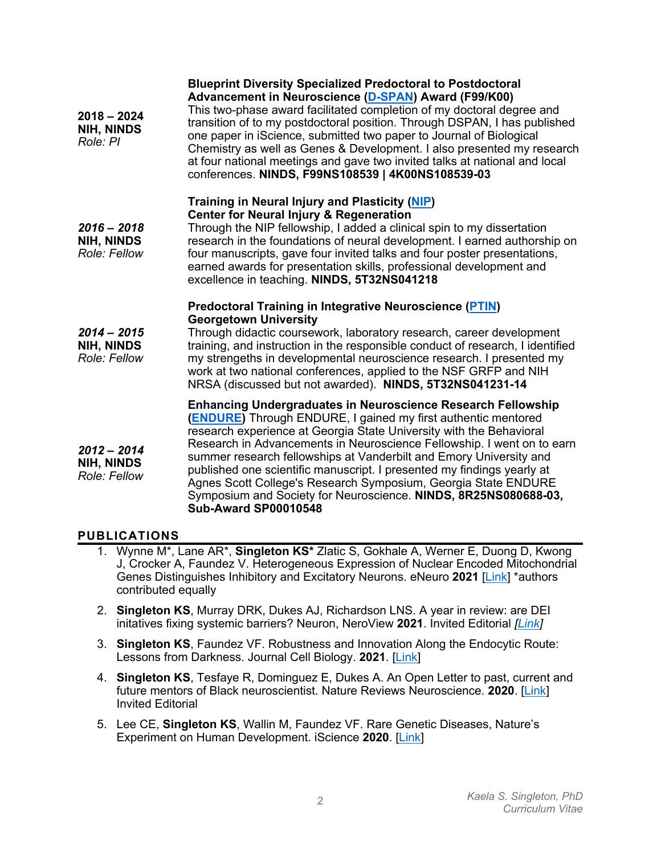| $2018 - 2024$<br><b>NIH, NINDS</b><br>Role: PI     | <b>Blueprint Diversity Specialized Predoctoral to Postdoctoral</b><br>Advancement in Neuroscience (D-SPAN) Award (F99/K00)<br>This two-phase award facilitated completion of my doctoral degree and<br>transition of to my postdoctoral position. Through DSPAN, I has published<br>one paper in iScience, submitted two paper to Journal of Biological<br>Chemistry as well as Genes & Development. I also presented my research<br>at four national meetings and gave two invited talks at national and local<br>conferences. NINDS, F99NS108539   4K00NS108539-03                                             |
|----------------------------------------------------|------------------------------------------------------------------------------------------------------------------------------------------------------------------------------------------------------------------------------------------------------------------------------------------------------------------------------------------------------------------------------------------------------------------------------------------------------------------------------------------------------------------------------------------------------------------------------------------------------------------|
| $2016 - 2018$<br><b>NIH, NINDS</b><br>Role: Fellow | Training in Neural Injury and Plasticity (NIP)<br><b>Center for Neural Injury &amp; Regeneration</b><br>Through the NIP fellowship, I added a clinical spin to my dissertation<br>research in the foundations of neural development. I earned authorship on<br>four manuscripts, gave four invited talks and four poster presentations,<br>earned awards for presentation skills, professional development and<br>excellence in teaching. NINDS, 5T32NS041218                                                                                                                                                    |
| $2014 - 2015$<br><b>NIH, NINDS</b><br>Role: Fellow | <b>Predoctoral Training in Integrative Neuroscience (PTIN)</b><br><b>Georgetown University</b><br>Through didactic coursework, laboratory research, career development<br>training, and instruction in the responsible conduct of research, I identified<br>my strengeths in developmental neuroscience research. I presented my<br>work at two national conferences, applied to the NSF GRFP and NIH<br>NRSA (discussed but not awarded). NINDS, 5T32NS041231-14                                                                                                                                                |
| $2012 - 2014$<br><b>NIH, NINDS</b><br>Role: Fellow | <b>Enhancing Undergraduates in Neuroscience Research Fellowship</b><br><b>(ENDURE)</b> Through ENDURE, I gained my first authentic mentored<br>research experience at Georgia State University with the Behavioral<br>Research in Advancements in Neuroscience Fellowship. I went on to earn<br>summer research fellowships at Vanderbilt and Emory University and<br>published one scientific manuscript. I presented my findings yearly at<br>Agnes Scott College's Research Symposium, Georgia State ENDURE<br>Symposium and Society for Neuroscience. NINDS, 8R25NS080688-03,<br><b>Sub-Award SP00010548</b> |

#### **PUBLICATIONS**

- 1. Wynne M\*, Lane AR\*, **Singleton KS\*** Zlatic S, Gokhale A, Werner E, Duong D, Kwong J, Crocker A, Faundez V. Heterogeneous Expression of Nuclear Encoded Mitochondrial Genes Distinguishes Inhibitory and Excitatory Neurons. eNeuro **2021** [Link] \*authors contributed equally
- 2. **Singleton KS**, Murray DRK, Dukes AJ, Richardson LNS. A year in review: are DEI initatives fixing systemic barriers? Neuron, NeroView **2021**. Invited Editorial *[Link]*
- 3. **Singleton KS**, Faundez VF. Robustness and Innovation Along the Endocytic Route: Lessons from Darkness. Journal Cell Biology. **2021**. [Link]
- 4. **Singleton KS**, Tesfaye R, Dominguez E, Dukes A. An Open Letter to past, current and future mentors of Black neuroscientist. Nature Reviews Neuroscience. **2020**. [Link] Invited Editorial
- 5. Lee CE, **Singleton KS**, Wallin M, Faundez VF. Rare Genetic Diseases, Nature's Experiment on Human Development. iScience **2020**. [Link]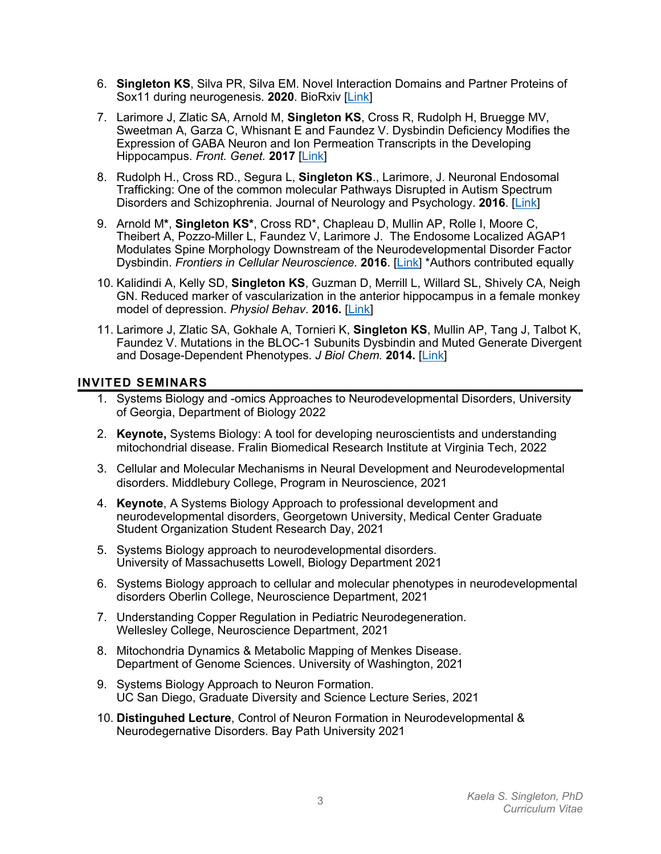- 6. **Singleton KS**, Silva PR, Silva EM. Novel Interaction Domains and Partner Proteins of Sox11 during neurogenesis. **2020**. BioRxiv [Link]
- 7. Larimore J, Zlatic SA, Arnold M, **Singleton KS**, Cross R, Rudolph H, Bruegge MV, Sweetman A, Garza C, Whisnant E and Faundez V. Dysbindin Deficiency Modifies the Expression of GABA Neuron and Ion Permeation Transcripts in the Developing Hippocampus. *Front. Genet.* **2017** [Link]
- 8. Rudolph H., Cross RD., Segura L, **Singleton KS**., Larimore, J. Neuronal Endosomal Trafficking: One of the common molecular Pathways Disrupted in Autism Spectrum Disorders and Schizophrenia. Journal of Neurology and Psychology. **2016**. [Link]
- 9. Arnold M**\***, **Singleton KS\***, Cross RD\*, Chapleau D, Mullin AP, Rolle I, Moore C, Theibert A, Pozzo-Miller L, Faundez V, Larimore J. The Endosome Localized AGAP1 Modulates Spine Morphology Downstream of the Neurodevelopmental Disorder Factor Dysbindin. *Frontiers in Cellular Neuroscience.* **2016**. [Link] \*Authors contributed equally
- 10. Kalidindi A, Kelly SD, **Singleton KS**, Guzman D, Merrill L, Willard SL, Shively CA, Neigh GN. Reduced marker of vascularization in the anterior hippocampus in a female monkey model of depression. *Physiol Behav*. **2016.** [Link]
- 11. Larimore J, Zlatic SA, Gokhale A, Tornieri K, **Singleton KS**, Mullin AP, Tang J, Talbot K, Faundez V. Mutations in the BLOC-1 Subunits Dysbindin and Muted Generate Divergent and Dosage-Dependent Phenotypes. *J Biol Chem.* **2014.** [Link]

#### **INVITED SEMINARS**

- 1. Systems Biology and -omics Approaches to Neurodevelopmental Disorders, University of Georgia, Department of Biology 2022
- 2. **Keynote,** Systems Biology: A tool for developing neuroscientists and understanding mitochondrial disease. Fralin Biomedical Research Institute at Virginia Tech, 2022
- 3. Cellular and Molecular Mechanisms in Neural Development and Neurodevelopmental disorders. Middlebury College, Program in Neuroscience, 2021
- 4. **Keynote**, A Systems Biology Approach to professional development and neurodevelopmental disorders, Georgetown University, Medical Center Graduate Student Organization Student Research Day, 2021
- 5. Systems Biology approach to neurodevelopmental disorders. University of Massachusetts Lowell, Biology Department 2021
- 6. Systems Biology approach to cellular and molecular phenotypes in neurodevelopmental disorders Oberlin College, Neuroscience Department, 2021
- 7. Understanding Copper Regulation in Pediatric Neurodegeneration. Wellesley College, Neuroscience Department, 2021
- 8. Mitochondria Dynamics & Metabolic Mapping of Menkes Disease. Department of Genome Sciences. University of Washington, 2021
- 9. Systems Biology Approach to Neuron Formation. UC San Diego, Graduate Diversity and Science Lecture Series, 2021
- 10. **Distinguhed Lecture**, Control of Neuron Formation in Neurodevelopmental & Neurodegernative Disorders. Bay Path University 2021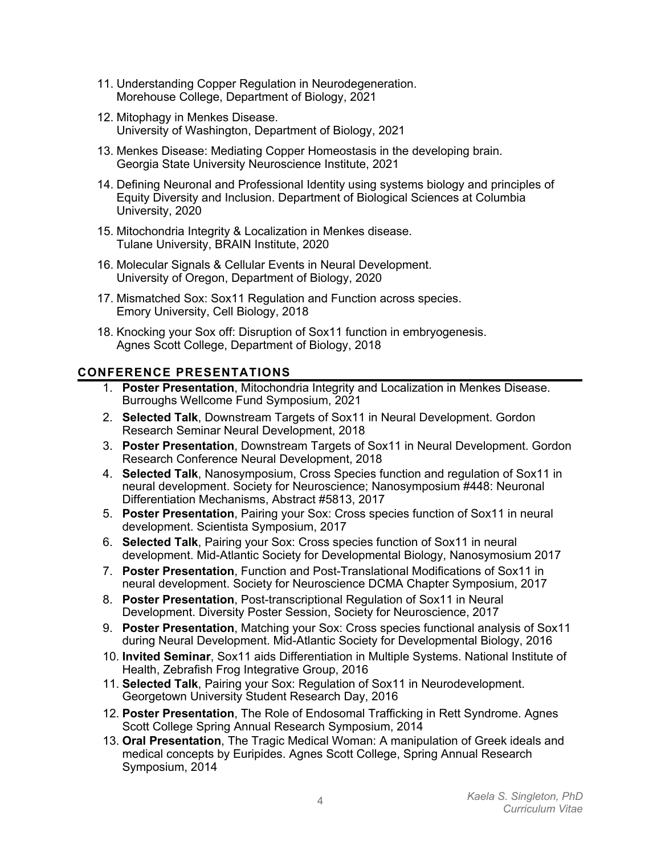- 11. Understanding Copper Regulation in Neurodegeneration. Morehouse College, Department of Biology, 2021
- 12. Mitophagy in Menkes Disease. University of Washington, Department of Biology, 2021
- 13. Menkes Disease: Mediating Copper Homeostasis in the developing brain. Georgia State University Neuroscience Institute, 2021
- 14. Defining Neuronal and Professional Identity using systems biology and principles of Equity Diversity and Inclusion. Department of Biological Sciences at Columbia University, 2020
- 15. Mitochondria Integrity & Localization in Menkes disease. Tulane University, BRAIN Institute, 2020
- 16. Molecular Signals & Cellular Events in Neural Development. University of Oregon, Department of Biology, 2020
- 17. Mismatched Sox: Sox11 Regulation and Function across species. Emory University, Cell Biology, 2018
- 18. Knocking your Sox off: Disruption of Sox11 function in embryogenesis. Agnes Scott College, Department of Biology, 2018

## **CONFERENCE PRESENTATIONS**

- 1. **Poster Presentation**, Mitochondria Integrity and Localization in Menkes Disease. Burroughs Wellcome Fund Symposium, 2021
- 2. **Selected Talk**, Downstream Targets of Sox11 in Neural Development. Gordon Research Seminar Neural Development, 2018
- 3. **Poster Presentation**, Downstream Targets of Sox11 in Neural Development. Gordon Research Conference Neural Development, 2018
- 4. **Selected Talk**, Nanosymposium, Cross Species function and regulation of Sox11 in neural development. Society for Neuroscience; Nanosymposium #448: Neuronal Differentiation Mechanisms, Abstract #5813, 2017
- 5. **Poster Presentation**, Pairing your Sox: Cross species function of Sox11 in neural development. Scientista Symposium, 2017
- 6. **Selected Talk**, Pairing your Sox: Cross species function of Sox11 in neural development. Mid-Atlantic Society for Developmental Biology, Nanosymosium 2017
- 7. **Poster Presentation**, Function and Post-Translational Modifications of Sox11 in neural development. Society for Neuroscience DCMA Chapter Symposium, 2017
- 8. **Poster Presentation**, Post-transcriptional Regulation of Sox11 in Neural Development. Diversity Poster Session, Society for Neuroscience, 2017
- 9. **Poster Presentation**, Matching your Sox: Cross species functional analysis of Sox11 during Neural Development. Mid-Atlantic Society for Developmental Biology, 2016
- 10. **Invited Seminar**, Sox11 aids Differentiation in Multiple Systems. National Institute of Health, Zebrafish Frog Integrative Group, 2016
- 11. **Selected Talk**, Pairing your Sox: Regulation of Sox11 in Neurodevelopment. Georgetown University Student Research Day, 2016
- 12. **Poster Presentation**, The Role of Endosomal Trafficking in Rett Syndrome. Agnes Scott College Spring Annual Research Symposium, 2014
- 13. **Oral Presentation**, The Tragic Medical Woman: A manipulation of Greek ideals and medical concepts by Euripides. Agnes Scott College, Spring Annual Research Symposium, 2014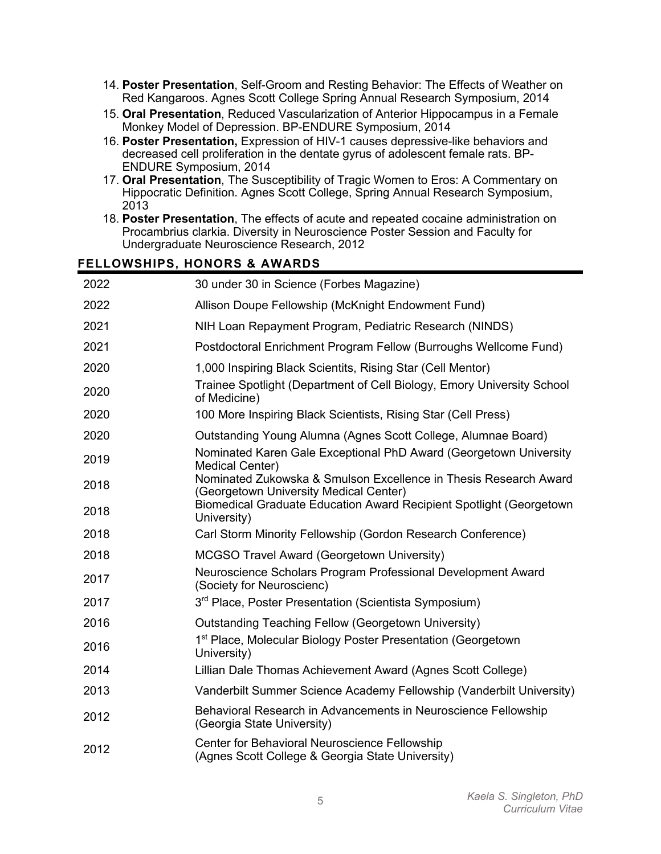- 14. **Poster Presentation**, Self-Groom and Resting Behavior: The Effects of Weather on Red Kangaroos. Agnes Scott College Spring Annual Research Symposium, 2014
- 15. **Oral Presentation**, Reduced Vascularization of Anterior Hippocampus in a Female Monkey Model of Depression. BP-ENDURE Symposium, 2014
- 16. **Poster Presentation,** Expression of HIV-1 causes depressive-like behaviors and decreased cell proliferation in the dentate gyrus of adolescent female rats. BP-ENDURE Symposium, 2014
- 17. **Oral Presentation**, The Susceptibility of Tragic Women to Eros: A Commentary on Hippocratic Definition. Agnes Scott College, Spring Annual Research Symposium, 2013
- 18. **Poster Presentation**, The effects of acute and repeated cocaine administration on Procambrius clarkia. Diversity in Neuroscience Poster Session and Faculty for Undergraduate Neuroscience Research, 2012

#### **FELLOWSHIPS, HONORS & AWARDS**

| 2022 | 30 under 30 in Science (Forbes Magazine)                                                                   |
|------|------------------------------------------------------------------------------------------------------------|
| 2022 | Allison Doupe Fellowship (McKnight Endowment Fund)                                                         |
| 2021 | NIH Loan Repayment Program, Pediatric Research (NINDS)                                                     |
| 2021 | Postdoctoral Enrichment Program Fellow (Burroughs Wellcome Fund)                                           |
| 2020 | 1,000 Inspiring Black Scientits, Rising Star (Cell Mentor)                                                 |
| 2020 | Trainee Spotlight (Department of Cell Biology, Emory University School<br>of Medicine)                     |
| 2020 | 100 More Inspiring Black Scientists, Rising Star (Cell Press)                                              |
| 2020 | Outstanding Young Alumna (Agnes Scott College, Alumnae Board)                                              |
| 2019 | Nominated Karen Gale Exceptional PhD Award (Georgetown University<br><b>Medical Center)</b>                |
| 2018 | Nominated Zukowska & Smulson Excellence in Thesis Research Award<br>(Georgetown University Medical Center) |
| 2018 | Biomedical Graduate Education Award Recipient Spotlight (Georgetown<br>University)                         |
| 2018 | Carl Storm Minority Fellowship (Gordon Research Conference)                                                |
| 2018 | <b>MCGSO Travel Award (Georgetown University)</b>                                                          |
| 2017 | Neuroscience Scholars Program Professional Development Award<br>(Society for Neuroscienc)                  |
| 2017 | 3 <sup>rd</sup> Place, Poster Presentation (Scientista Symposium)                                          |
| 2016 | Outstanding Teaching Fellow (Georgetown University)                                                        |
| 2016 | 1st Place, Molecular Biology Poster Presentation (Georgetown<br>University)                                |
| 2014 | Lillian Dale Thomas Achievement Award (Agnes Scott College)                                                |
| 2013 | Vanderbilt Summer Science Academy Fellowship (Vanderbilt University)                                       |
| 2012 | Behavioral Research in Advancements in Neuroscience Fellowship<br>(Georgia State University)               |
| 2012 | <b>Center for Behavioral Neuroscience Fellowship</b><br>(Agnes Scott College & Georgia State University)   |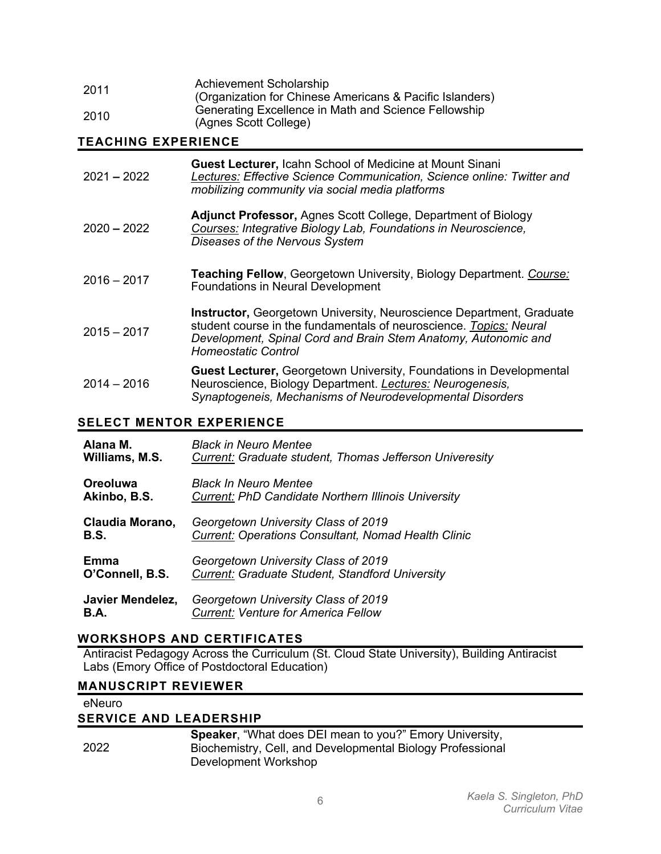| 2011 | Achievement Scholarship<br>(Organization for Chinese Americans & Pacific Islanders) |
|------|-------------------------------------------------------------------------------------|
| 2010 | Generating Excellence in Math and Science Fellowship<br>(Agnes Scott College)       |

## **TEACHING EXPERIENCE**

| $2021 - 2022$ | <b>Guest Lecturer, Icahn School of Medicine at Mount Sinani</b><br>Lectures: Effective Science Communication, Science online: Twitter and<br>mobilizing community via social media platforms                                                      |
|---------------|---------------------------------------------------------------------------------------------------------------------------------------------------------------------------------------------------------------------------------------------------|
| $2020 - 2022$ | <b>Adjunct Professor, Agnes Scott College, Department of Biology</b><br>Courses: Integrative Biology Lab, Foundations in Neuroscience,<br>Diseases of the Nervous System                                                                          |
| $2016 - 2017$ | <b>Teaching Fellow, Georgetown University, Biology Department. Course:</b><br><b>Foundations in Neural Development</b>                                                                                                                            |
| $2015 - 2017$ | <b>Instructor, Georgetown University, Neuroscience Department, Graduate</b><br>student course in the fundamentals of neuroscience. Topics: Neural<br>Development, Spinal Cord and Brain Stem Anatomy, Autonomic and<br><b>Homeostatic Control</b> |
| $2014 - 2016$ | <b>Guest Lecturer, Georgetown University, Foundations in Developmental</b><br>Neuroscience, Biology Department. Lectures: Neurogenesis,<br>Synaptogeneis, Mechanisms of Neurodevelopmental Disorders                                              |

# **SELECT MENTOR EXPERIENCE**

| Alana M.         | <b>Black in Neuro Mentee</b>                                   |
|------------------|----------------------------------------------------------------|
| Williams, M.S.   | <b>Current:</b> Graduate student, Thomas Jefferson Univeresity |
| Oreoluwa         | <b>Black In Neuro Mentee</b>                                   |
| Akinbo, B.S.     | <b>Current: PhD Candidate Northern Illinois University</b>     |
| Claudia Morano,  | Georgetown University Class of 2019                            |
| <b>B.S.</b>      | <b>Current: Operations Consultant, Nomad Health Clinic</b>     |
| Emma             | Georgetown University Class of 2019                            |
| O'Connell, B.S.  | Current: Graduate Student, Standford University                |
| Javier Mendelez, | Georgetown University Class of 2019                            |
| <b>B.A.</b>      | <b>Current: Venture for America Fellow</b>                     |

## **WORKSHOPS AND CERTIFICATES**

Antiracist Pedagogy Across the Curriculum (St. Cloud State University), Building Antiracist Labs (Emory Office of Postdoctoral Education)

## **MANUSCRIPT REVIEWER**

| eNeuro |                                                                |  |
|--------|----------------------------------------------------------------|--|
|        | <b>SERVICE AND LEADERSHIP</b>                                  |  |
|        | <b>Speaker, "What does DEI mean to you?" Emory University,</b> |  |
| 2022   | Biochemistry, Cell, and Developmental Biology Professional     |  |
|        | Development Workshop                                           |  |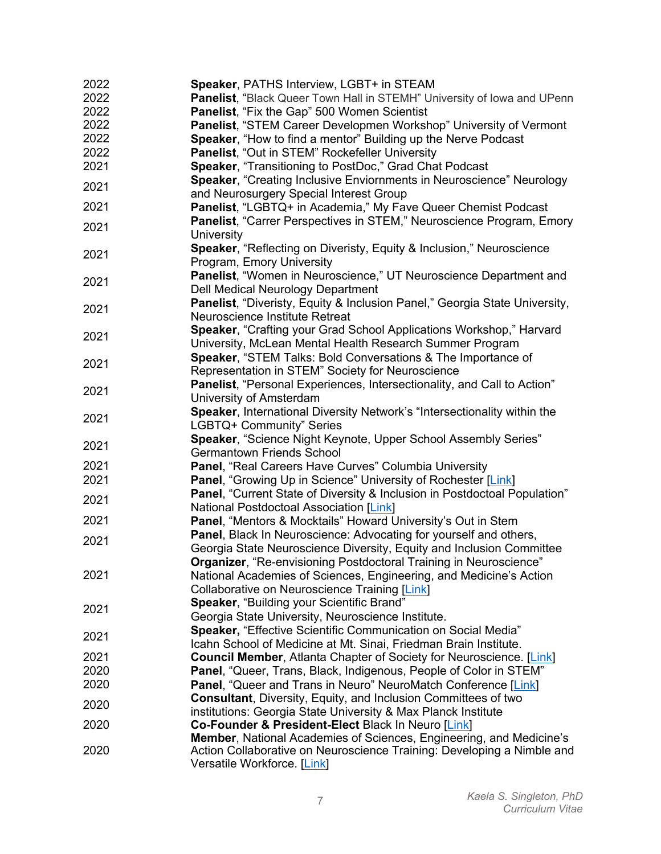| 2022 | Speaker, PATHS Interview, LGBT+ in STEAM                                                           |
|------|----------------------------------------------------------------------------------------------------|
| 2022 | Panelist, "Black Queer Town Hall in STEMH" University of lowa and UPenn                            |
| 2022 | <b>Panelist, "Fix the Gap" 500 Women Scientist</b>                                                 |
| 2022 | Panelist, "STEM Career Developmen Workshop" University of Vermont                                  |
| 2022 | Speaker, "How to find a mentor" Building up the Nerve Podcast                                      |
| 2022 | Panelist, "Out in STEM" Rockefeller University                                                     |
| 2021 | Speaker, "Transitioning to PostDoc," Grad Chat Podcast                                             |
|      | Speaker, "Creating Inclusive Enviornments in Neuroscience" Neurology                               |
| 2021 | and Neurosurgery Special Interest Group                                                            |
| 2021 | Panelist, "LGBTQ+ in Academia," My Fave Queer Chemist Podcast                                      |
| 2021 | Panelist, "Carrer Perspectives in STEM," Neuroscience Program, Emory                               |
|      | University                                                                                         |
| 2021 | Speaker, "Reflecting on Diveristy, Equity & Inclusion," Neuroscience                               |
|      | Program, Emory University                                                                          |
| 2021 | Panelist, "Women in Neuroscience," UT Neuroscience Department and                                  |
|      | Dell Medical Neurology Department                                                                  |
| 2021 | Panelist, "Diveristy, Equity & Inclusion Panel," Georgia State University,                         |
|      | Neuroscience Institute Retreat                                                                     |
| 2021 | Speaker, "Crafting your Grad School Applications Workshop," Harvard                                |
|      | University, McLean Mental Health Research Summer Program                                           |
| 2021 | <b>Speaker, "STEM Talks: Bold Conversations &amp; The Importance of</b>                            |
|      | Representation in STEM" Society for Neuroscience                                                   |
| 2021 | Panelist, "Personal Experiences, Intersectionality, and Call to Action"                            |
|      | University of Amsterdam                                                                            |
| 2021 | Speaker, International Diversity Network's "Intersectionality within the                           |
|      | LGBTQ+ Community" Series                                                                           |
| 2021 | Speaker, "Science Night Keynote, Upper School Assembly Series"<br><b>Germantown Friends School</b> |
| 2021 | Panel, "Real Careers Have Curves" Columbia University                                              |
| 2021 | <b>Panel, "Growing Up in Science" University of Rochester [Link]</b>                               |
|      | Panel, "Current State of Diversity & Inclusion in Postdoctoal Population"                          |
| 2021 | National Postdoctoal Association [Link]                                                            |
| 2021 | Panel, "Mentors & Mocktails" Howard University's Out in Stem                                       |
|      | Panel, Black In Neuroscience: Advocating for yourself and others,                                  |
| 2021 | Georgia State Neuroscience Diversity, Equity and Inclusion Committee                               |
|      | Organizer, "Re-envisioning Postdoctoral Training in Neuroscience"                                  |
| 2021 | National Academies of Sciences, Engineering, and Medicine's Action                                 |
|      | Collaborative on Neuroscience Training [Link]                                                      |
|      | Speaker, "Building your Scientific Brand"                                                          |
| 2021 | Georgia State University, Neuroscience Institute.                                                  |
| 2021 | Speaker, "Effective Scientific Communication on Social Media"                                      |
|      | Icahn School of Medicine at Mt. Sinai, Friedman Brain Institute.                                   |
| 2021 | <b>Council Member, Atlanta Chapter of Society for Neuroscience.</b> [Link]                         |
| 2020 | Panel, "Queer, Trans, Black, Indigenous, People of Color in STEM"                                  |
| 2020 | Panel, "Queer and Trans in Neuro" NeuroMatch Conference [Link]                                     |
| 2020 | <b>Consultant, Diversity, Equity, and Inclusion Committees of two</b>                              |
|      | institutions: Georgia State University & Max Planck Institute                                      |
| 2020 | Co-Founder & President-Elect Black In Neuro [Link]                                                 |
|      | Member, National Academies of Sciences, Engineering, and Medicine's                                |
| 2020 | Action Collaborative on Neuroscience Training: Developing a Nimble and                             |
|      | Versatile Workforce. [Link]                                                                        |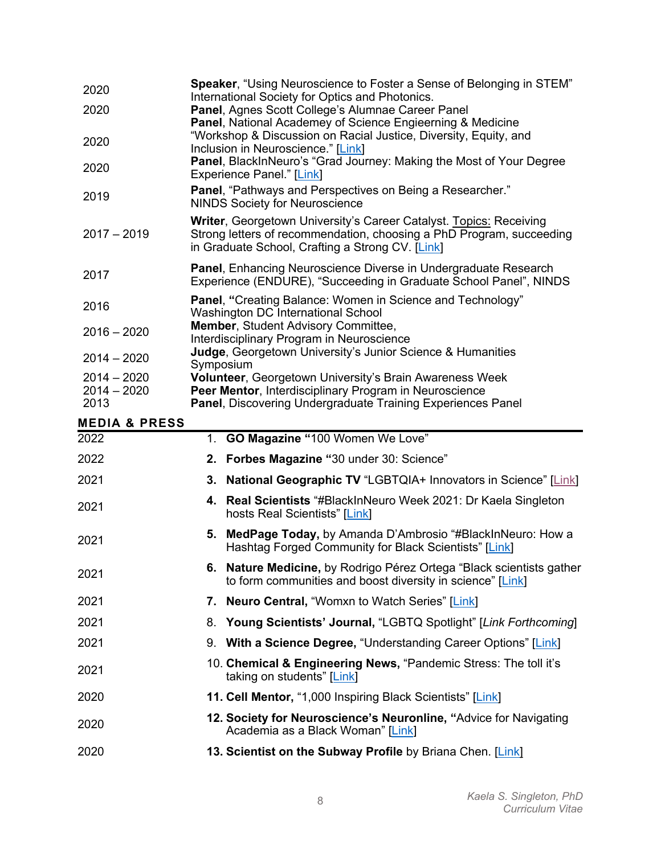| 2020<br>2020             | <b>Speaker, "Using Neuroscience to Foster a Sense of Belonging in STEM"</b><br>International Society for Optics and Photonics.<br>Panel, Agnes Scott College's Alumnae Career Panel            |
|--------------------------|------------------------------------------------------------------------------------------------------------------------------------------------------------------------------------------------|
| 2020                     | Panel, National Academey of Science Engieerning & Medicine<br>"Workshop & Discussion on Racial Justice, Diversity, Equity, and<br>Inclusion in Neuroscience." [Link]                           |
| 2020                     | Panel, BlackInNeuro's "Grad Journey: Making the Most of Your Degree<br><b>Experience Panel." [Link]</b>                                                                                        |
| 2019                     | Panel, "Pathways and Perspectives on Being a Researcher."<br><b>NINDS Society for Neuroscience</b>                                                                                             |
| $2017 - 2019$            | Writer, Georgetown University's Career Catalyst. Topics: Receiving<br>Strong letters of recommendation, choosing a PhD Program, succeeding<br>in Graduate School, Crafting a Strong CV. [Link] |
| 2017                     | Panel, Enhancing Neuroscience Diverse in Undergraduate Research<br>Experience (ENDURE), "Succeeding in Graduate School Panel", NINDS                                                           |
| 2016                     | Panel, "Creating Balance: Women in Science and Technology"<br>Washington DC International School                                                                                               |
| $2016 - 2020$            | Member, Student Advisory Committee,<br>Interdisciplinary Program in Neuroscience                                                                                                               |
| $2014 - 2020$            | Judge, Georgetown University's Junior Science & Humanities<br>Symposium                                                                                                                        |
| $2014 - 2020$            | Volunteer, Georgetown University's Brain Awareness Week                                                                                                                                        |
| $2014 - 2020$<br>2013    | Peer Mentor, Interdisciplinary Program in Neuroscience<br>Panel, Discovering Undergraduate Training Experiences Panel                                                                          |
| <b>MEDIA &amp; PRESS</b> |                                                                                                                                                                                                |
| 2022                     | 1. GO Magazine "100 Women We Love"                                                                                                                                                             |
| 2022                     | Forbes Magazine "30 under 30: Science"<br>2.                                                                                                                                                   |
| 2021                     | <b>National Geographic TV "LGBTQIA+ Innovators in Science" [Link]</b><br>3.                                                                                                                    |
| 2021                     | Real Scientists "#BlackInNeuro Week 2021: Dr Kaela Singleton<br>4.<br>hosts Real Scientists" [Link]                                                                                            |

- <sup>2021</sup> **5. MedPage Today,** by Amanda D'Ambrosio "#BlackInNeuro: How a Hashtag Forged Community for Black Scientists" [Link]
- <sup>2021</sup> **6. Nature Medicine,** by Rodrigo Pérez Ortega "Black scientists gather to form communities and boost diversity in science" [Link]
- 2021 **7. Neuro Central,** "Womxn to Watch Series" [Link]
- 2021 8. **Young Scientists' Journal,** "LGBTQ Spotlight" [*Link Forthcoming*]
- 2021 9. **With a Science Degree,** "Understanding Career Options" [Link]
- <sup>2021</sup> 10. **Chemical & Engineering News,** "Pandemic Stress: The toll it's taking on students" [Link]
- 2020 **11. Cell Mentor,** "1,000 Inspiring Black Scientists" [Link]
- <sup>2020</sup> **12. Society for Neuroscience's Neuronline, "**Advice for Navigating Academia as a Black Woman" [Link]
- 2020 **13. Scientist on the Subway Profile** by Briana Chen. [Link]